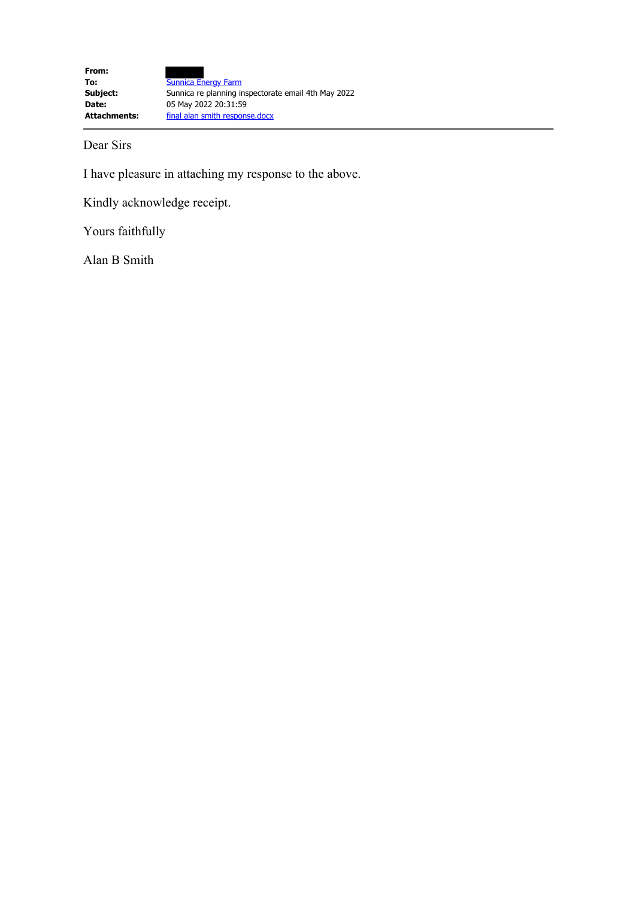Dear Sirs

I have pleasure in attaching my response to the above.

Kindly acknowledge receipt.

Yours faithfully

Alan B Smith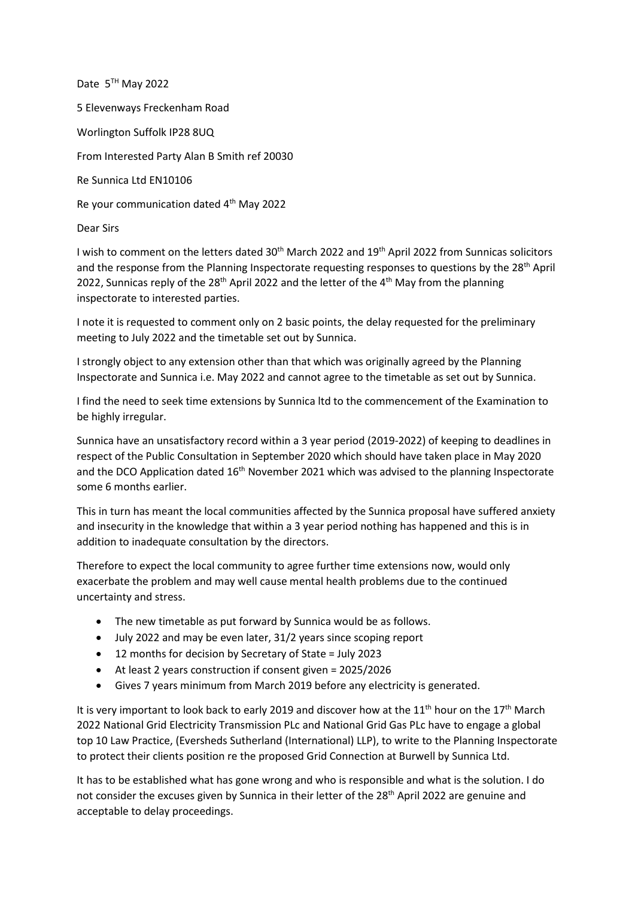Date 5<sup>TH</sup> May 2022 5 Elevenways Freckenham Road Worlington Suffolk IP28 8UQ From Interested Party Alan B Smith ref 20030 Re Sunnica Ltd EN10106 Re your communication dated 4<sup>th</sup> May 2022

Dear Sirs

I wish to comment on the letters dated 30<sup>th</sup> March 2022 and 19<sup>th</sup> April 2022 from Sunnicas solicitors and the response from the Planning Inspectorate requesting responses to questions by the 28<sup>th</sup> April 2022, Sunnicas reply of the 28<sup>th</sup> April 2022 and the letter of the 4<sup>th</sup> May from the planning inspectorate to interested parties.

I note it is requested to comment only on 2 basic points, the delay requested for the preliminary meeting to July 2022 and the timetable set out by Sunnica.

I strongly object to any extension other than that which was originally agreed by the Planning Inspectorate and Sunnica i.e. May 2022 and cannot agree to the timetable as set out by Sunnica.

I find the need to seek time extensions by Sunnica ltd to the commencement of the Examination to be highly irregular.

Sunnica have an unsatisfactory record within a 3 year period (2019-2022) of keeping to deadlines in respect of the Public Consultation in September 2020 which should have taken place in May 2020 and the DCO Application dated 16<sup>th</sup> November 2021 which was advised to the planning Inspectorate some 6 months earlier.

This in turn has meant the local communities affected by the Sunnica proposal have suffered anxiety and insecurity in the knowledge that within a 3 year period nothing has happened and this is in addition to inadequate consultation by the directors.

Therefore to expect the local community to agree further time extensions now, would only exacerbate the problem and may well cause mental health problems due to the continued uncertainty and stress.

- The new timetable as put forward by Sunnica would be as follows.
- July 2022 and may be even later, 31/2 years since scoping report
- 12 months for decision by Secretary of State = July 2023
- At least 2 years construction if consent given = 2025/2026
- Gives 7 years minimum from March 2019 before any electricity is generated.

It is very important to look back to early 2019 and discover how at the  $11<sup>th</sup>$  hour on the  $17<sup>th</sup>$  March 2022 National Grid Electricity Transmission PLc and National Grid Gas PLc have to engage a global top 10 Law Practice, (Eversheds Sutherland (International) LLP), to write to the Planning Inspectorate to protect their clients position re the proposed Grid Connection at Burwell by Sunnica Ltd.

It has to be established what has gone wrong and who is responsible and what is the solution. I do not consider the excuses given by Sunnica in their letter of the 28<sup>th</sup> April 2022 are genuine and acceptable to delay proceedings.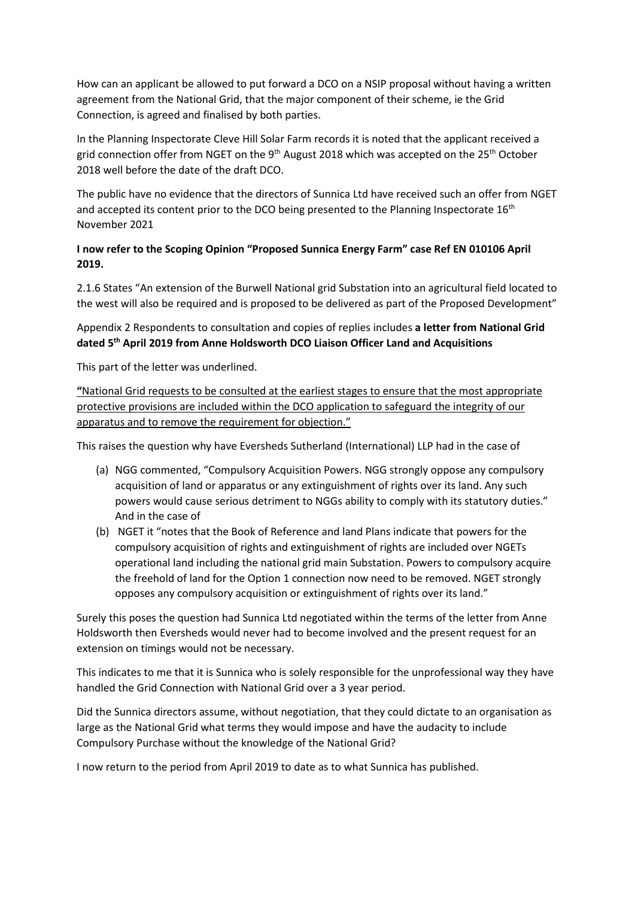How can an applicant be allowed to put forward a DCO on a NSIP proposal without having a written agreement from the National Grid, that the major component of their scheme, ie the Grid Connection, is agreed and finalised by both parties.

In the Planning Inspectorate Cleve Hill Solar Farm records it is noted that the applicant received a grid connection offer from NGET on the 9<sup>th</sup> August 2018 which was accepted on the 25<sup>th</sup> October 2018 well before the date of the draft DCO.

The public have no evidence that the directors of Sunnica Ltd have received such an offer from NGET and accepted its content prior to the DCO being presented to the Planning Inspectorate 16<sup>th</sup> November 2021

## **I now refer to the Scoping Opinion "Proposed Sunnica Energy Farm" case Ref EN 010106 April 2019.**

2.1.6 States "An extension of the Burwell National grid Substation into an agricultural field located to the west will also be required and is proposed to be delivered as part of the Proposed Development"

## Appendix 2 Respondents to consultation and copies of replies includes **a letter from National Grid dated 5th April 2019 from Anne Holdsworth DCO Liaison Officer Land and Acquisitions**

This part of the letter was underlined.

**"**National Grid requests to be consulted at the earliest stages to ensure that the most appropriate protective provisions are included within the DCO application to safeguard the integrity of our apparatus and to remove the requirement for objection."

This raises the question why have Eversheds Sutherland (International) LLP had in the case of

- (a) NGG commented, "Compulsory Acquisition Powers. NGG strongly oppose any compulsory acquisition of land or apparatus or any extinguishment of rights over its land. Any such powers would cause serious detriment to NGGs ability to comply with its statutory duties." And in the case of
- (b) NGET it "notes that the Book of Reference and land Plans indicate that powers for the compulsory acquisition of rights and extinguishment of rights are included over NGETs operational land including the national grid main Substation. Powers to compulsory acquire the freehold of land for the Option 1 connection now need to be removed. NGET strongly opposes any compulsory acquisition or extinguishment of rights over its land."

Surely this poses the question had Sunnica Ltd negotiated within the terms of the letter from Anne Holdsworth then Eversheds would never had to become involved and the present request for an extension on timings would not be necessary.

This indicates to me that it is Sunnica who is solely responsible for the unprofessional way they have handled the Grid Connection with National Grid over a 3 year period.

Did the Sunnica directors assume, without negotiation, that they could dictate to an organisation as large as the National Grid what terms they would impose and have the audacity to include Compulsory Purchase without the knowledge of the National Grid?

I now return to the period from April 2019 to date as to what Sunnica has published.